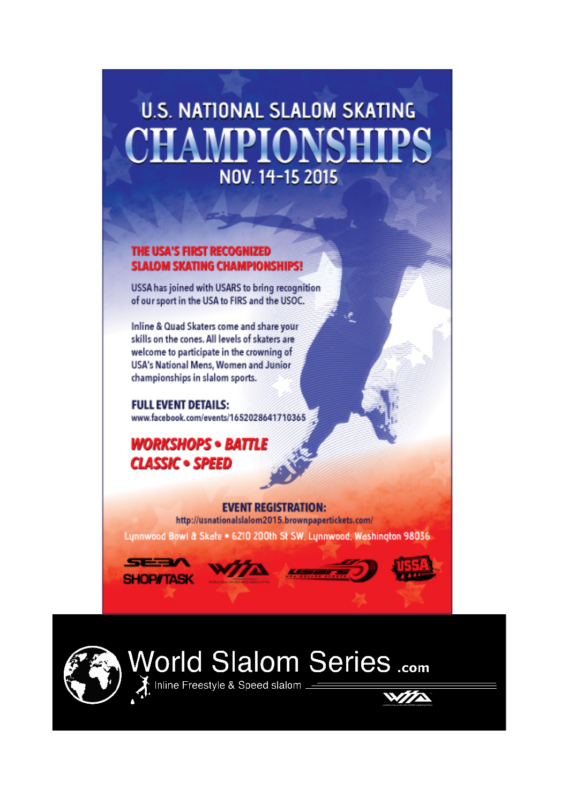# **U.S. NATIONAL SLALOM SKATING MPIONSI** NOV. 14-15 2015

#### THE USA'S FIRST RECOGNIZED **SLALOM SKATING CHAMPIONSHIPS!**

USSA has joined with USARS to bring recognition of our sport in the USA to FIRS and the USOC.

Inline & Quad Skaters come and share your skills on the cones. All levels of skaters are welcome to participate in the crowning of USA's National Mens, Women and Junior championships in slalom sports.

**FULL EVENT DETAILS:** www.facebook.com/events/1652028641710365

### **WORKSHOPS • BATTLE CLASSIC . SPEED**

#### **EVENT REGISTRATION:**

http://usnationalslalom2015.brownpapertickets.com/ Lynnwood Bowl & Skate . 6210 200th St SW, Lynnwood, Washington 98036









# World Slalom Series .com

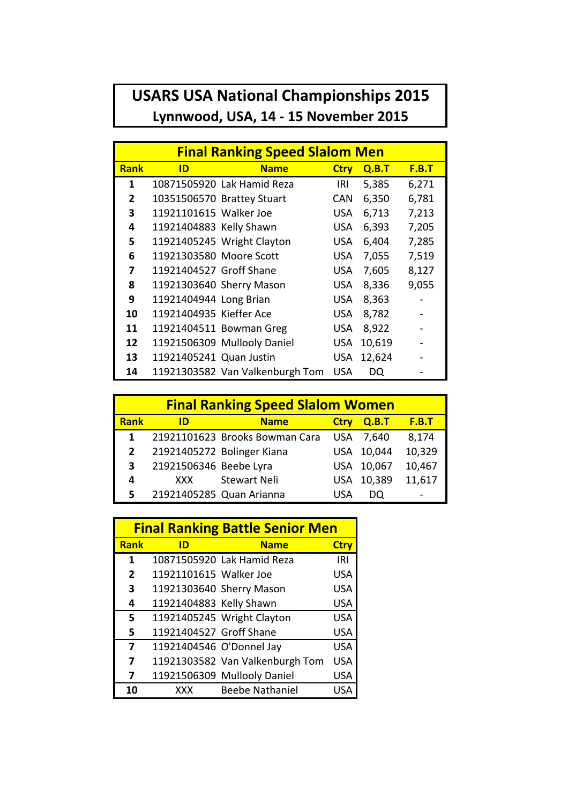## **USARS USA National Championships 2015** Lynnwood, USA, 14 - 15 November 2015

| <b>Final Ranking Speed Slalom Men</b> |                         |                                 |             |        |              |
|---------------------------------------|-------------------------|---------------------------------|-------------|--------|--------------|
| <b>Rank</b>                           | ID                      | <b>Name</b>                     | <b>Ctry</b> | Q.B.T  | <b>F.B.T</b> |
| 1                                     |                         | 10871505920 Lak Hamid Reza      | IRI         | 5,385  | 6,271        |
| $\overline{2}$                        |                         | 10351506570 Brattey Stuart      | <b>CAN</b>  | 6,350  | 6,781        |
| 3                                     | 11921101615 Walker Joe  |                                 | <b>USA</b>  | 6,713  | 7,213        |
| 4                                     | 11921404883 Kelly Shawn |                                 | USA         | 6,393  | 7,205        |
| 5                                     |                         | 11921405245 Wright Clayton      | USA         | 6,404  | 7,285        |
| 6                                     | 11921303580 Moore Scott |                                 | <b>USA</b>  | 7,055  | 7,519        |
| 7                                     | 11921404527 Groff Shane |                                 | USA         | 7,605  | 8,127        |
| 8                                     |                         | 11921303640 Sherry Mason        | USA         | 8,336  | 9,055        |
| 9                                     | 11921404944 Long Brian  |                                 | USA         | 8,363  |              |
| 10                                    | 11921404935 Kieffer Ace |                                 | USA         | 8,782  |              |
| 11                                    |                         | 11921404511 Bowman Greg         | USA         | 8,922  |              |
| 12                                    |                         | 11921506309 Mullooly Daniel     | <b>USA</b>  | 10,619 |              |
| 13                                    | 11921405241 Quan Justin |                                 | USA         | 12,624 |              |
| 14                                    |                         | 11921303582 Van Valkenburgh Tom | <b>USA</b>  | DQ     |              |

| <b>Final Ranking Speed Slalom Women</b> |                        |                                |             |        |              |
|-----------------------------------------|------------------------|--------------------------------|-------------|--------|--------------|
| Rank                                    | ID                     | <b>Name</b>                    | <b>Ctrv</b> | Q.B.T  | <b>F.B.T</b> |
| 1                                       |                        | 21921101623 Brooks Bowman Cara | <b>USA</b>  | 7,640  | 8,174        |
| $\overline{2}$                          |                        | 21921405272 Bolinger Kiana     | <b>USA</b>  | 10,044 | 10,329       |
| 3                                       | 21921506346 Beebe Lyra |                                | <b>USA</b>  | 10,067 | 10,467       |
| 4                                       | XXX                    | <b>Stewart Neli</b>            | <b>USA</b>  | 10,389 | 11,617       |
| 5                                       |                        | 21921405285 Quan Arianna       |             |        |              |

| <b>Final Ranking Battle Senior Men</b> |                          |                                 |             |  |
|----------------------------------------|--------------------------|---------------------------------|-------------|--|
| <b>Rank</b>                            | ID                       | <b>Name</b>                     | <b>Ctry</b> |  |
| 1                                      |                          | 10871505920 Lak Hamid Reza      | IRI         |  |
| $\overline{2}$                         | 11921101615 Walker Joe   |                                 | <b>USA</b>  |  |
| 3                                      |                          | 11921303640 Sherry Mason        | <b>USA</b>  |  |
| 4                                      | 11921404883 Kelly Shawn  |                                 | <b>USA</b>  |  |
| 5                                      |                          | 11921405245 Wright Clayton      | <b>USA</b>  |  |
| 5                                      | 11921404527 Groff Shane  |                                 | <b>USA</b>  |  |
| 7                                      | 11921404546 O'Donnel Jay |                                 | <b>USA</b>  |  |
| 7                                      |                          | 11921303582 Van Valkenburgh Tom | <b>USA</b>  |  |
| 7                                      |                          | 11921506309 Mullooly Daniel     | USA         |  |
| 10                                     | XXX                      | <b>Beebe Nathaniel</b>          |             |  |